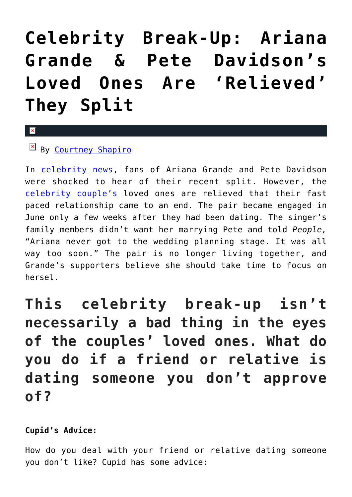## **[Celebrity Break-Up: Ariana](https://cupidspulse.com/127152/celebrity-break-up-ariana-grande-pete-davidson-loved-ones-relieved-split/) [Grande & Pete Davidson's](https://cupidspulse.com/127152/celebrity-break-up-ariana-grande-pete-davidson-loved-ones-relieved-split/) [Loved Ones Are 'Relieved'](https://cupidspulse.com/127152/celebrity-break-up-ariana-grande-pete-davidson-loved-ones-relieved-split/) [They Split](https://cupidspulse.com/127152/celebrity-break-up-ariana-grande-pete-davidson-loved-ones-relieved-split/)**

 $\mathbf{x}$ 

 $By$  [Courtney Shapiro](http://cupidspulse.com/126719/courtney-shapiro/)

In [celebrity news](http://cupidspulse.com/celebrity-news/), fans of Ariana Grande and Pete Davidson were shocked to hear of their recent split. However, the [celebrity couple's](http://cupidspulse.com/celebrity-news/celebrity-dating/) loved ones are relieved that their fast paced relationship came to an end. The pair became engaged in June only a few weeks after they had been dating. The singer's family members didn't want her marrying Pete and told *People,* "Ariana never got to the wedding planning stage. It was all way too soon." The pair is no longer living together, and Grande's supporters believe she should take time to focus on hersel.

**This celebrity break-up isn't necessarily a bad thing in the eyes of the couples' loved ones. What do you do if a friend or relative is dating someone you don't approve of?**

## **Cupid's Advice:**

How do you deal with your friend or relative dating someone you don't like? Cupid has some advice: